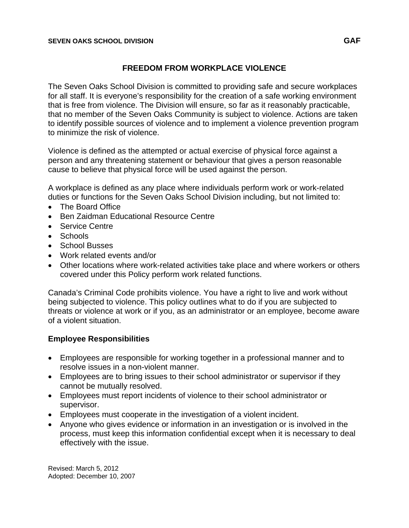### **FREEDOM FROM WORKPLACE VIOLENCE**

The Seven Oaks School Division is committed to providing safe and secure workplaces for all staff. It is everyone's responsibility for the creation of a safe working environment that is free from violence. The Division will ensure, so far as it reasonably practicable, that no member of the Seven Oaks Community is subject to violence. Actions are taken to identify possible sources of violence and to implement a violence prevention program to minimize the risk of violence.

Violence is defined as the attempted or actual exercise of physical force against a person and any threatening statement or behaviour that gives a person reasonable cause to believe that physical force will be used against the person.

A workplace is defined as any place where individuals perform work or work-related duties or functions for the Seven Oaks School Division including, but not limited to:

- The Board Office
- Ben Zaidman Educational Resource Centre
- Service Centre
- Schools
- School Busses
- Work related events and/or
- Other locations where work-related activities take place and where workers or others covered under this Policy perform work related functions.

Canada's Criminal Code prohibits violence. You have a right to live and work without being subjected to violence. This policy outlines what to do if you are subjected to threats or violence at work or if you, as an administrator or an employee, become aware of a violent situation.

# **Employee Responsibilities**

- Employees are responsible for working together in a professional manner and to resolve issues in a non-violent manner.
- Employees are to bring issues to their school administrator or supervisor if they cannot be mutually resolved.
- Employees must report incidents of violence to their school administrator or supervisor.
- Employees must cooperate in the investigation of a violent incident.
- Anyone who gives evidence or information in an investigation or is involved in the process, must keep this information confidential except when it is necessary to deal effectively with the issue.

Revised: March 5, 2012 Adopted: December 10, 2007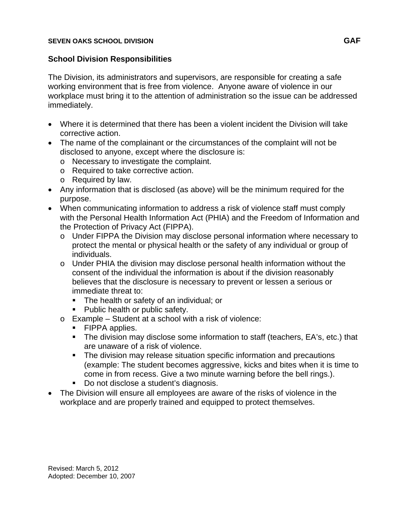#### **SEVEN OAKS SCHOOL DIVISION GAF**

## **School Division Responsibilities**

The Division, its administrators and supervisors, are responsible for creating a safe working environment that is free from violence. Anyone aware of violence in our workplace must bring it to the attention of administration so the issue can be addressed immediately.

- Where it is determined that there has been a violent incident the Division will take corrective action.
- The name of the complainant or the circumstances of the complaint will not be disclosed to anyone, except where the disclosure is:
	- o Necessary to investigate the complaint.
	- o Required to take corrective action.
	- o Required by law.
- Any information that is disclosed (as above) will be the minimum required for the purpose.
- When communicating information to address a risk of violence staff must comply with the Personal Health Information Act (PHIA) and the Freedom of Information and the Protection of Privacy Act (FIPPA).
	- o Under FIPPA the Division may disclose personal information where necessary to protect the mental or physical health or the safety of any individual or group of individuals.
	- o Under PHIA the division may disclose personal health information without the consent of the individual the information is about if the division reasonably believes that the disclosure is necessary to prevent or lessen a serious or immediate threat to:
		- The health or safety of an individual; or
		- Public health or public safety.
	- o Example Student at a school with a risk of violence:
		- **FIPPA applies.**
		- **The division may disclose some information to staff (teachers, EA's, etc.) that** are unaware of a risk of violence.
		- The division may release situation specific information and precautions (example: The student becomes aggressive, kicks and bites when it is time to come in from recess. Give a two minute warning before the bell rings.).
		- Do not disclose a student's diagnosis.
- The Division will ensure all employees are aware of the risks of violence in the workplace and are properly trained and equipped to protect themselves.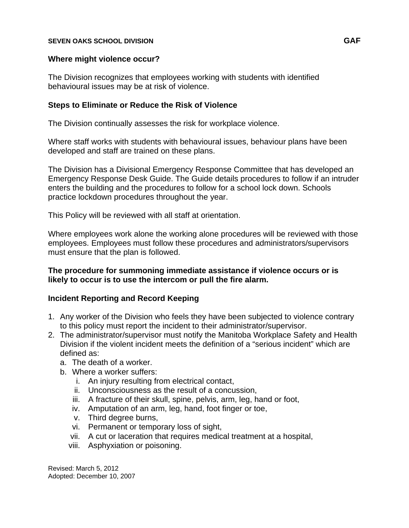#### **SEVEN OAKS SCHOOL DIVISION GAF**

#### **Where might violence occur?**

The Division recognizes that employees working with students with identified behavioural issues may be at risk of violence.

#### **Steps to Eliminate or Reduce the Risk of Violence**

The Division continually assesses the risk for workplace violence.

Where staff works with students with behavioural issues, behaviour plans have been developed and staff are trained on these plans.

The Division has a Divisional Emergency Response Committee that has developed an Emergency Response Desk Guide. The Guide details procedures to follow if an intruder enters the building and the procedures to follow for a school lock down. Schools practice lockdown procedures throughout the year.

This Policy will be reviewed with all staff at orientation.

Where employees work alone the working alone procedures will be reviewed with those employees. Employees must follow these procedures and administrators/supervisors must ensure that the plan is followed.

#### **The procedure for summoning immediate assistance if violence occurs or is likely to occur is to use the intercom or pull the fire alarm.**

### **Incident Reporting and Record Keeping**

- 1. Any worker of the Division who feels they have been subjected to violence contrary to this policy must report the incident to their administrator/supervisor.
- 2. The administrator/supervisor must notify the Manitoba Workplace Safety and Health Division if the violent incident meets the definition of a "serious incident" which are defined as:
	- a. The death of a worker.
	- b. Where a worker suffers:
		- i. An injury resulting from electrical contact,
		- ii. Unconsciousness as the result of a concussion,
		- iii. A fracture of their skull, spine, pelvis, arm, leg, hand or foot,
		- iv. Amputation of an arm, leg, hand, foot finger or toe,
		- v. Third degree burns,
		- vi. Permanent or temporary loss of sight,
		- vii. A cut or laceration that requires medical treatment at a hospital,
		- viii. Asphyxiation or poisoning.

Revised: March 5, 2012 Adopted: December 10, 2007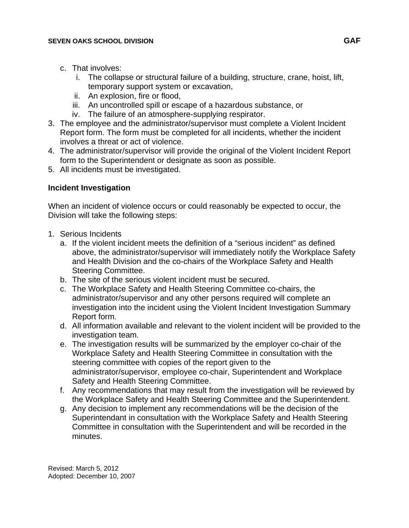- c. That involves:
	- i. The collapse or structural failure of a building, structure, crane, hoist, lift, temporary support system or excavation,
	- ii. An explosion, fire or flood,
	- iii. An uncontrolled spill or escape of a hazardous substance, or
	- iv. The failure of an atmosphere-supplying respirator.
- 3. The employee and the administrator/supervisor must complete a Violent Incident Report form. The form must be completed for all incidents, whether the incident involves a threat or act of violence.
- 4. The administrator/supervisor will provide the original of the Violent Incident Report form to the Superintendent or designate as soon as possible.
- 5. All incidents must be investigated.

## **Incident Investigation**

When an incident of violence occurs or could reasonably be expected to occur, the Division will take the following steps:

- 1. Serious Incidents
	- a. If the violent incident meets the definition of a "serious incident" as defined above, the administrator/supervisor will immediately notify the Workplace Safety and Health Division and the co-chairs of the Workplace Safety and Health Steering Committee.
	- b. The site of the serious violent incident must be secured.
	- c. The Workplace Safety and Health Steering Committee co-chairs, the administrator/supervisor and any other persons required will complete an investigation into the incident using the Violent Incident Investigation Summary Report form.
	- d. All information available and relevant to the violent incident will be provided to the investigation team.
	- e. The investigation results will be summarized by the employer co-chair of the Workplace Safety and Health Steering Committee in consultation with the steering committee with copies of the report given to the administrator/supervisor, employee co-chair, Superintendent and Workplace Safety and Health Steering Committee.
	- f. Any recommendations that may result from the investigation will be reviewed by the Workplace Safety and Health Steering Committee and the Superintendent.
	- g. Any decision to implement any recommendations will be the decision of the Superintendant in consultation with the Workplace Safety and Health Steering Committee in consultation with the Superintendent and will be recorded in the minutes.